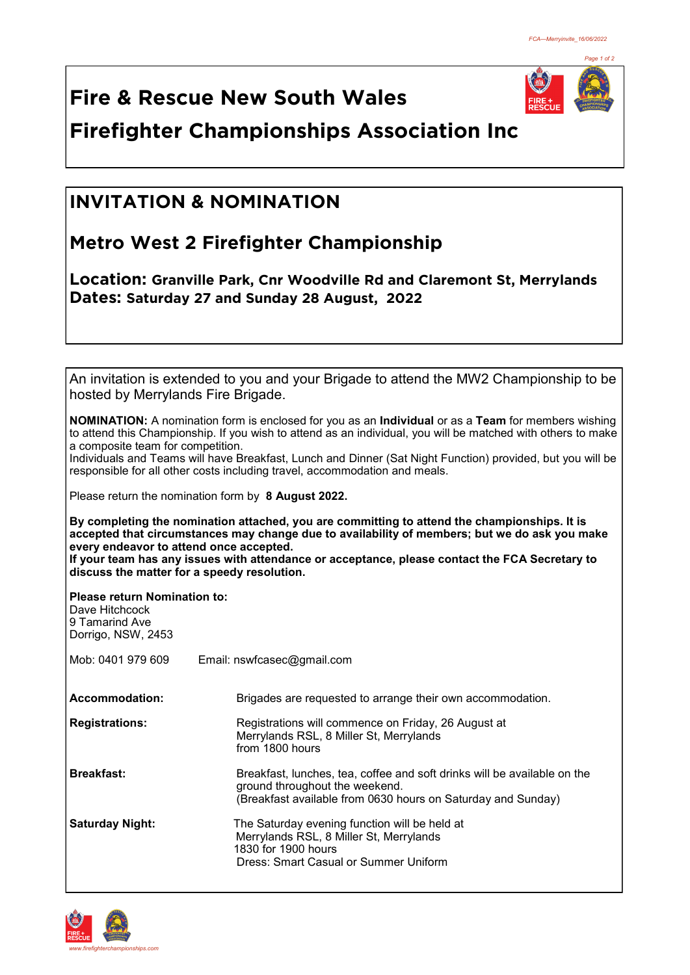

**Fire & Rescue New South Wales Firefighter Championships Association Inc**

## **INVITATION & NOMINATION**

## **Metro West 2 Firefighter Championship**

**Location: Granville Park, Cnr Woodville Rd and Claremont St, Merrylands Dates: Saturday 27 and Sunday 28 August, 2022** 

| hosted by Merrylands Fire Brigade.                                                            | An invitation is extended to you and your Brigade to attend the MW2 Championship to be                                                                                                                                            |
|-----------------------------------------------------------------------------------------------|-----------------------------------------------------------------------------------------------------------------------------------------------------------------------------------------------------------------------------------|
| a composite team for competition.                                                             | <b>NOMINATION:</b> A nomination form is enclosed for you as an <b>Individual</b> or as a Team for members wishing<br>to attend this Championship. If you wish to attend as an individual, you will be matched with others to make |
|                                                                                               | Individuals and Teams will have Breakfast, Lunch and Dinner (Sat Night Function) provided, but you will be<br>responsible for all other costs including travel, accommodation and meals.                                          |
|                                                                                               | Please return the nomination form by 8 August 2022.                                                                                                                                                                               |
| every endeavor to attend once accepted.                                                       | By completing the nomination attached, you are committing to attend the championships. It is<br>accepted that circumstances may change due to availability of members; but we do ask you make                                     |
|                                                                                               | If your team has any issues with attendance or acceptance, please contact the FCA Secretary to<br>discuss the matter for a speedy resolution.                                                                                     |
| <b>Please return Nomination to:</b><br>Dave Hitchcock<br>9 Tamarind Ave<br>Dorrigo, NSW, 2453 |                                                                                                                                                                                                                                   |
| Mob: 0401 979 609                                                                             | Email: nswfcasec@gmail.com                                                                                                                                                                                                        |
| <b>Accommodation:</b>                                                                         | Brigades are requested to arrange their own accommodation.                                                                                                                                                                        |
| <b>Registrations:</b>                                                                         | Registrations will commence on Friday, 26 August at<br>Merrylands RSL, 8 Miller St, Merrylands<br>from 1800 hours                                                                                                                 |
| <b>Breakfast:</b>                                                                             | Breakfast, lunches, tea, coffee and soft drinks will be available on the<br>ground throughout the weekend.<br>(Breakfast available from 0630 hours on Saturday and Sunday)                                                        |
| <b>Saturday Night:</b>                                                                        | The Saturday evening function will be held at<br>Merrylands RSL, 8 Miller St, Merrylands<br>1830 for 1900 hours<br><b>Dress: Smart Casual or Summer Uniform</b>                                                                   |
|                                                                                               |                                                                                                                                                                                                                                   |